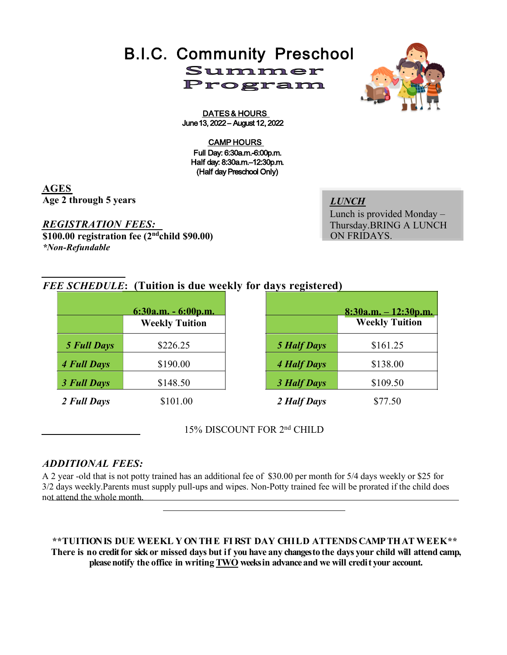# B.I.C. Community Preschool Summer Program

DATES & HOURS June 13, 2022 - August 12, 2022

#### CAMP HOURS Full Dav: 6:30a.m.-6:00p.m. Half day: 8:30a.m.-12:30p.m. (Half day Preschool Only)

**AGES Age 2 through 5 years**

*REGISTRATION FEES:* **\$100.00 registration fee (2ndchild \$90.00)** *\*Non-Refundable*

*LUNCH* Lunch is provided Monday – Thursday.BRING A LUNCH ON FRIDAYS.

## *FEE SCHEDULE***: (Tuition is due weekly for days registered)**

| $6:30a.m. - 6:00p.m.$ |                       |                    | $8:30a.m. - 12:30p.m.$ |  |
|-----------------------|-----------------------|--------------------|------------------------|--|
|                       | <b>Weekly Tuition</b> |                    | <b>Weekly Tuition</b>  |  |
| <b>5 Full Days</b>    | \$226.25              | <b>5 Half Days</b> | \$161.25               |  |
| <b>4 Full Days</b>    | \$190.00              | <b>4 Half Days</b> | \$138.00               |  |
| 3 Full Days           | \$148.50              | 3 Half Days        | \$109.50               |  |
| 2 Full Days           | \$101.00              | 2 Half Days        | \$77.50                |  |

15% DISCOUNT FOR 2nd CHILD

### *ADDITIONAL FEES:*

A 2 year -old that is not potty trained has an additional fee of \$30.00 per month for 5/4 days weekly or \$25 for 3/2 days weekly.Parents must supply pull-ups and wipes. Non-Potty trained fee will be prorated if the child does not attend the whole month.

**\*\*TUITIONIS DUE WEEKL Y ON THE FI RST DAY CH I LD ATTENDS CAMPTHAT WEEK\*\* There is no credit for sick or missed days but if you have any changesto the days your child will attend camp, please notify the office in writing TWO weeksin advanceand we will credit your account.**